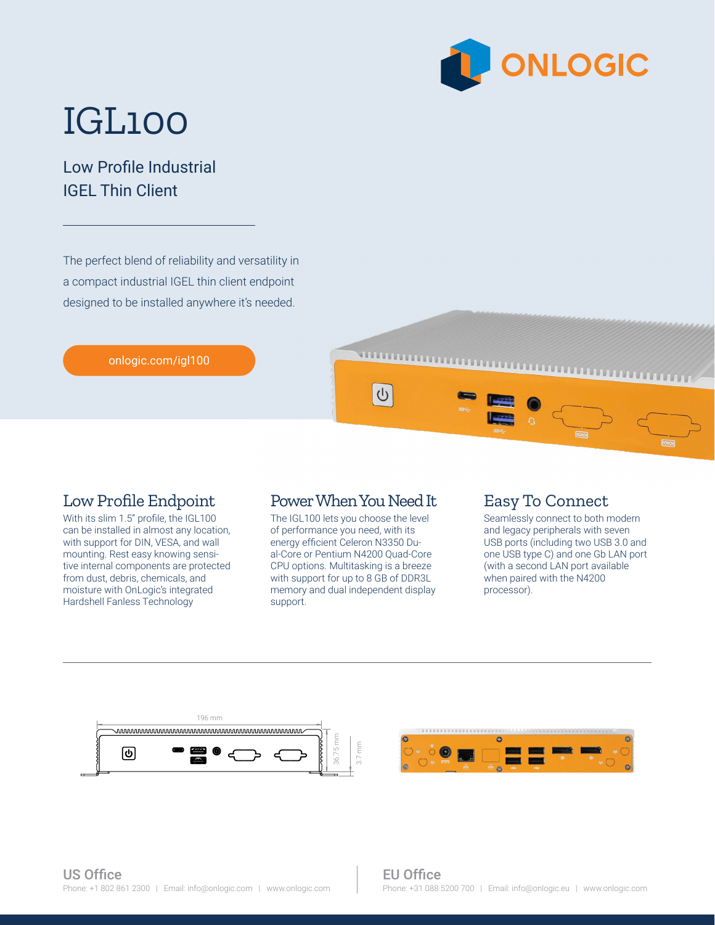

# IGL100

### Low Profile Industrial IGEL Thin Client

The perfect blend of reliability and versatility in a compact industrial IGEL thin client endpoint designed to be installed anywhere it's needed.

[onlogic.com/](https://www.onlogic.com/igl100/)igl100

#### Low Profile Endpoint

With its slim 1.5" profile, the IGL100 can be installed in almost any location, with support for DIN, VESA, and wall mounting. Rest easy knowing sensitive internal components are protected from dust, debris, chemicals, and moisture with OnLogic's integrated Hardshell Fanless Technology

#### Power When You Need It

 $\bigcup$ 

The IGL100 lets you choose the level of performance you need, with its energy efficient Celeron N3350 Dual-Core or Pentium N4200 Quad-Core CPU options. Multitasking is a breeze with support for up to 8 GB of DDR3L memory and dual independent display support.

#### Easy To Connect

Seamlessly connect to both modern and legacy peripherals with seven USB ports (including two USB 3.0 and one USB type C) and one Gb LAN port (with a second LAN port available when paired with the N4200 processor).



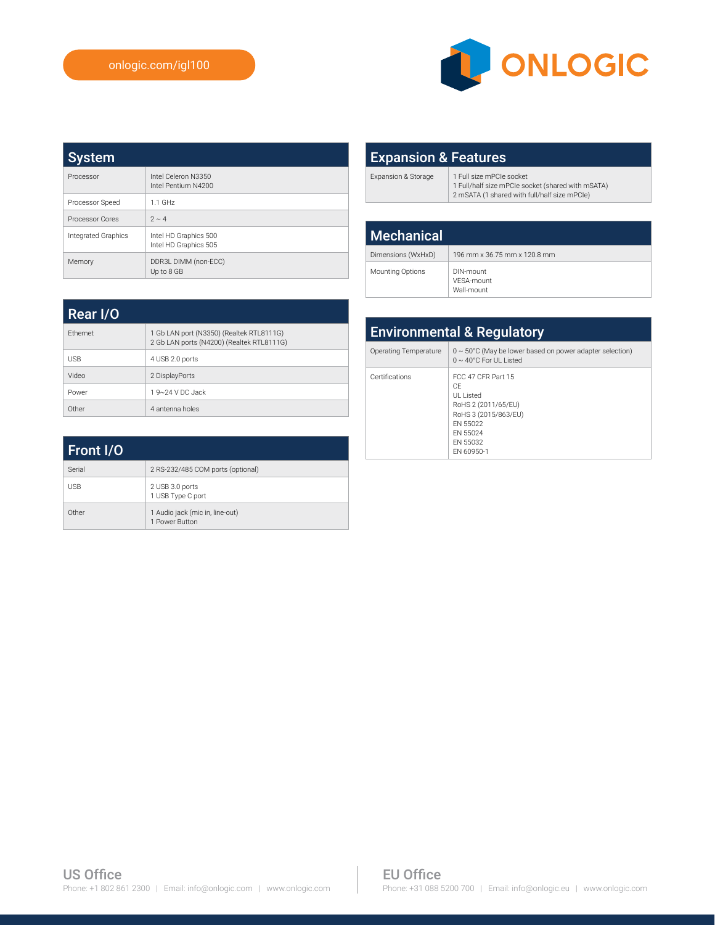

| <b>System</b>              |                                                |  |
|----------------------------|------------------------------------------------|--|
| Processor                  | Intel Celeron N3350<br>Intel Pentium N4200     |  |
| Processor Speed            | $1.1$ GHz                                      |  |
| Processor Cores            | $2 \sim 4$                                     |  |
| <b>Integrated Graphics</b> | Intel HD Graphics 500<br>Intel HD Graphics 505 |  |
| Memory                     | DDR3L DIMM (non-ECC)<br>Up to 8 GB             |  |

| <b>Expansion &amp; Features</b> |                                                                                                                               |  |
|---------------------------------|-------------------------------------------------------------------------------------------------------------------------------|--|
| Expansion & Storage             | 1 Full size mPCIe socket<br>1 Full/half size mPCIe socket (shared with mSATA)<br>2 mSATA (1 shared with full/half size mPCle) |  |
|                                 |                                                                                                                               |  |
| <b>Mechanical</b>               |                                                                                                                               |  |
| Dimensions (WxHxD)              | 196 mm x 36.75 mm x 120.8 mm                                                                                                  |  |

Mounting Options | DIN-mount

VESA-mount Wall-mount

| <b>Rear I/O</b> |                                                                                       |
|-----------------|---------------------------------------------------------------------------------------|
| <b>Fthernet</b> | 1 Gb LAN port (N3350) (Realtek RTL8111G)<br>2 Gb LAN ports (N4200) (Realtek RTL8111G) |
| <b>USB</b>      | 4 USB 2.0 ports                                                                       |
| Video           | 2 DisplayPorts                                                                        |
| Power           | 19~24 V DC Jack                                                                       |
| Other           | 4 antenna holes                                                                       |

| <b>Environmental &amp; Regulatory</b> |                                                                                                                                        |
|---------------------------------------|----------------------------------------------------------------------------------------------------------------------------------------|
| Operating Temperature                 | $0 \sim 50^{\circ}$ C (May be lower based on power adapter selection)<br>$0 \sim 40^{\circ}$ C For UI Listed                           |
| Certifications                        | FCC 47 CFR Part 15<br>CF<br>UI Listed<br>RoHS 2 (2011/65/EU)<br>RoHS 3 (2015/863/EU)<br>FN 55022<br>FN 55024<br>FN 55032<br>FN 60950-1 |

| <b>Front I/O</b> |                                                   |  |
|------------------|---------------------------------------------------|--|
| Serial           | 2 RS-232/485 COM ports (optional)                 |  |
| <b>USB</b>       | 2 USB 3.0 ports<br>1 USB Type C port              |  |
| Other            | 1 Audio jack (mic in, line-out)<br>1 Power Button |  |